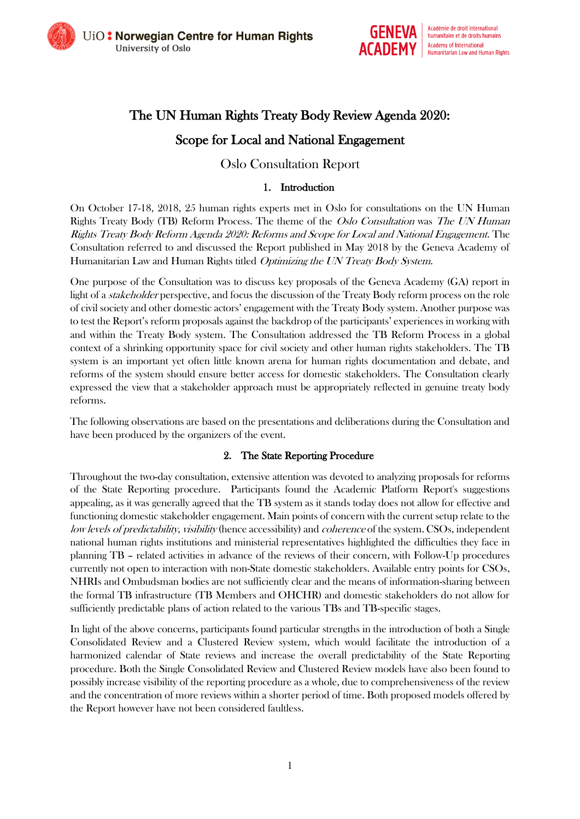



# The UN Human Rights Treaty Body Review Agenda 2020: Scope for Local and National Engagement

# Oslo Consultation Report

#### 1. Introduction

On October 17-18, 2018, 25 human rights experts met in Oslo for consultations on the UN Human Rights Treaty Body (TB) Reform Process. The theme of the Oslo Consultation was The UN Human Rights Treaty Body Reform Agenda 2020: Reforms and Scope for Local and National Engagement. The Consultation referred to and discussed the Report published in May 2018 by the Geneva Academy of Humanitarian Law and Human Rights titled Optimizing the UN Treaty Body System.

One purpose of the Consultation was to discuss key proposals of the Geneva Academy (GA) report in light of a *stakeholder* perspective, and focus the discussion of the Treaty Body reform process on the role of civil society and other domestic actors' engagement with the Treaty Body system. Another purpose was to test the Report's reform proposals against the backdrop of the participants' experiences in working with and within the Treaty Body system. The Consultation addressed the TB Reform Process in a global context of a shrinking opportunity space for civil society and other human rights stakeholders. The TB system is an important yet often little known arena for human rights documentation and debate, and reforms of the system should ensure better access for domestic stakeholders. The Consultation clearly expressed the view that a stakeholder approach must be appropriately reflected in genuine treaty body reforms.

The following observations are based on the presentations and deliberations during the Consultation and have been produced by the organizers of the event.

#### 2. The State Reporting Procedure

Throughout the two-day consultation, extensive attention was devoted to analyzing proposals for reforms of the State Reporting procedure. Participants found the Academic Platform Report's suggestions appealing, as it was generally agreed that the TB system as it stands today does not allow for effective and functioning domestic stakeholder engagement. Main points of concern with the current setup relate to the low levels of predictability, visibility (hence accessibility) and *coherence* of the system. CSOs, independent national human rights institutions and ministerial representatives highlighted the difficulties they face in planning TB – related activities in advance of the reviews of their concern, with Follow-Up procedures currently not open to interaction with non-State domestic stakeholders. Available entry points for CSOs, NHRIs and Ombudsman bodies are not sufficiently clear and the means of information-sharing between the formal TB infrastructure (TB Members and OHCHR) and domestic stakeholders do not allow for sufficiently predictable plans of action related to the various TBs and TB-specific stages.

In light of the above concerns, participants found particular strengths in the introduction of both a Single Consolidated Review and a Clustered Review system, which would facilitate the introduction of a harmonized calendar of State reviews and increase the overall predictability of the State Reporting procedure. Both the Single Consolidated Review and Clustered Review models have also been found to possibly increase visibility of the reporting procedure as a whole, due to comprehensiveness of the review and the concentration of more reviews within a shorter period of time. Both proposed models offered by the Report however have not been considered faultless.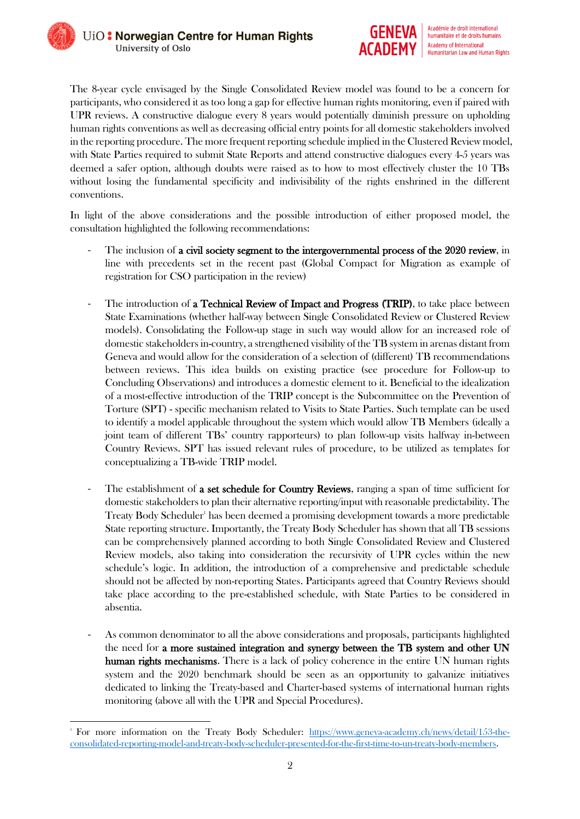

The 8-year cycle envisaged by the Single Consolidated Review model was found to be a concern for participants, who considered it as too long a gap for effective human rights monitoring, even if paired with UPR reviews. A constructive dialogue every 8 years would potentially diminish pressure on upholding human rights conventions as well as decreasing official entry points for all domestic stakeholders involved in the reporting procedure. The more frequent reporting schedule implied in the Clustered Review model, with State Parties required to submit State Reports and attend constructive dialogues every 4-5 years was deemed a safer option, although doubts were raised as to how to most effectively cluster the 10 TBs without losing the fundamental specificity and indivisibility of the rights enshrined in the different conventions.

In light of the above considerations and the possible introduction of either proposed model, the consultation highlighted the following recommendations:

- The inclusion of a civil society segment to the intergovernmental process of the 2020 review, in line with precedents set in the recent past (Global Compact for Migration as example of registration for CSO participation in the review)
- The introduction of a Technical Review of Impact and Progress (TRIP), to take place between State Examinations (whether half-way between Single Consolidated Review or Clustered Review models). Consolidating the Follow-up stage in such way would allow for an increased role of domestic stakeholders in-country, a strengthened visibility of the TB system in arenas distant from Geneva and would allow for the consideration of a selection of (different) TB recommendations between reviews. This idea builds on existing practice (see procedure for Follow-up to Concluding Observations) and introduces a domestic element to it. Beneficial to the idealization of a most-effective introduction of the TRIP concept is the Subcommittee on the Prevention of Torture (SPT) - specific mechanism related to Visits to State Parties. Such template can be used to identify a model applicable throughout the system which would allow TB Members (ideally a joint team of different TBs' country rapporteurs) to plan follow-up visits halfway in-between Country Reviews. SPT has issued relevant rules of procedure, to be utilized as templates for conceptualizing a TB-wide TRIP model.
- The establishment of **a set schedule for Country Reviews**, ranging a span of time sufficient for domestic stakeholders to plan their alternative reporting/input with reasonable predictability. The Treaty Body Scheduler<sup>1</sup> has been deemed a promising development towards a more predictable State reporting structure. Importantly, the Treaty Body Scheduler has shown that all TB sessions can be comprehensively planned according to both Single Consolidated Review and Clustered Review models, also taking into consideration the recursivity of UPR cycles within the new schedule's logic. In addition, the introduction of a comprehensive and predictable schedule should not be affected by non-reporting States. Participants agreed that Country Reviews should take place according to the pre-established schedule, with State Parties to be considered in absentia.
- As common denominator to all the above considerations and proposals, participants highlighted the need for a more sustained integration and synergy between the TB system and other UN human rights mechanisms. There is a lack of policy coherence in the entire UN human rights system and the 2020 benchmark should be seen as an opportunity to galvanize initiatives dedicated to linking the Treaty-based and Charter-based systems of international human rights monitoring (above all with the UPR and Special Procedures).

**<sup>.</sup>** 1 For more information on the Treaty Body Scheduler: [https://www.geneva-academy.ch/news/detail/153-the](https://www.geneva-academy.ch/news/detail/153-the-consolidated-reporting-model-and-treaty-body-scheduler-presented-for-the-first-time-to-un-treaty-body-members)[consolidated-reporting-model-and-treaty-body-scheduler-presented-for-the-first-time-to-un-treaty-body-members.](https://www.geneva-academy.ch/news/detail/153-the-consolidated-reporting-model-and-treaty-body-scheduler-presented-for-the-first-time-to-un-treaty-body-members)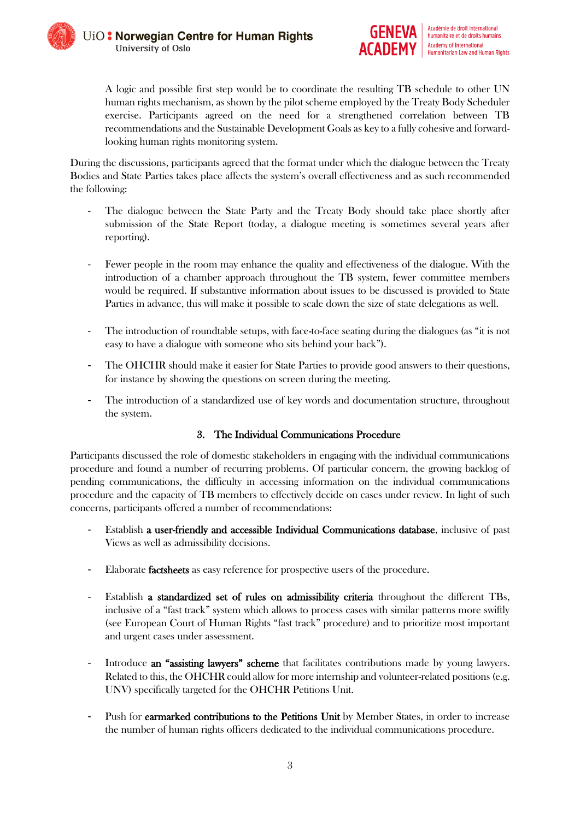

A logic and possible first step would be to coordinate the resulting TB schedule to other UN human rights mechanism, as shown by the pilot scheme employed by the Treaty Body Scheduler exercise. Participants agreed on the need for a strengthened correlation between TB recommendations and the Sustainable Development Goals as key to a fully cohesive and forwardlooking human rights monitoring system.

During the discussions, participants agreed that the format under which the dialogue between the Treaty Bodies and State Parties takes place affects the system's overall effectiveness and as such recommended the following:

- The dialogue between the State Party and the Treaty Body should take place shortly after submission of the State Report (today, a dialogue meeting is sometimes several years after reporting).
- Fewer people in the room may enhance the quality and effectiveness of the dialogue. With the introduction of a chamber approach throughout the TB system, fewer committee members would be required. If substantive information about issues to be discussed is provided to State Parties in advance, this will make it possible to scale down the size of state delegations as well.
- The introduction of roundtable setups, with face-to-face seating during the dialogues (as "it is not easy to have a dialogue with someone who sits behind your back").
- The OHCHR should make it easier for State Parties to provide good answers to their questions, for instance by showing the questions on screen during the meeting.
- The introduction of a standardized use of key words and documentation structure, throughout the system.

## 3. The Individual Communications Procedure

Participants discussed the role of domestic stakeholders in engaging with the individual communications procedure and found a number of recurring problems. Of particular concern, the growing backlog of pending communications, the difficulty in accessing information on the individual communications procedure and the capacity of TB members to effectively decide on cases under review. In light of such concerns, participants offered a number of recommendations:

- Establish a user-friendly and accessible Individual Communications database, inclusive of past Views as well as admissibility decisions.
- Elaborate **factsheets** as easy reference for prospective users of the procedure.
- Establish a standardized set of rules on admissibility criteria throughout the different TBs, inclusive of a "fast track" system which allows to process cases with similar patterns more swiftly (see European Court of Human Rights "fast track" procedure) and to prioritize most important and urgent cases under assessment.
- Introduce an "assisting lawyers" scheme that facilitates contributions made by young lawyers. Related to this, the OHCHR could allow for more internship and volunteer-related positions (e.g. UNV) specifically targeted for the OHCHR Petitions Unit.
- Push for **earmarked contributions to the Petitions Unit** by Member States, in order to increase the number of human rights officers dedicated to the individual communications procedure.